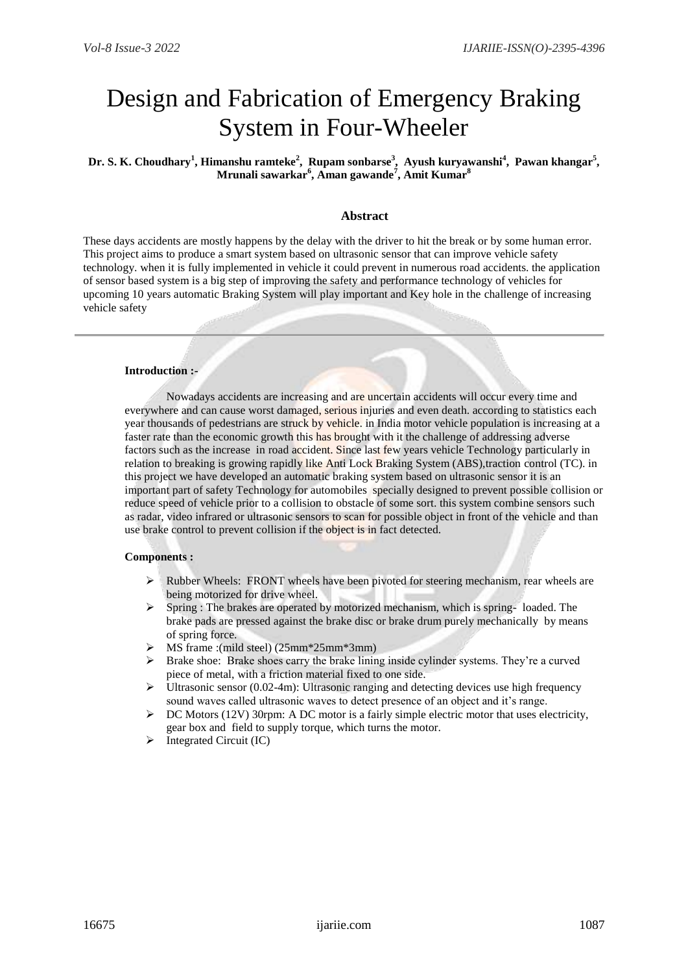# Design and Fabrication of Emergency Braking System in Four-Wheeler

# **Dr. S. K. Choudhary<sup>1</sup> , Himanshu ramteke<sup>2</sup> , Rupam sonbarse<sup>3</sup> , Ayush kuryawanshi<sup>4</sup> , Pawan khangar<sup>5</sup> , Mrunali sawarkar 6 , Aman gawande<sup>7</sup> , Amit Kumar<sup>8</sup>**

# **Abstract**

These days accidents are mostly happens by the delay with the driver to hit the break or by some human error. This project aims to produce a smart system based on ultrasonic sensor that can improve vehicle safety technology. when it is fully implemented in vehicle it could prevent in numerous road accidents. the application of sensor based system is a big step of improving the safety and performance technology of vehicles for upcoming 10 years automatic Braking System will play important and Key hole in the challenge of increasing vehicle safety

# **Introduction :-**

Nowadays accidents are increasing and are uncertain accidents will occur every time and everywhere and can cause worst damaged, serious injuries and even death. according to statistics each year thousands of pedestrians are struck by vehicle. in India motor vehicle population is increasing at a faster rate than the economic growth this has brought with it the challenge of addressing adverse factors such as the increase in road accident. Since last few years vehicle Technology particularly in relation to breaking is growing rapidly like Anti Lock Braking System (ABS),traction control (TC). in this project we have developed an automatic braking system based on ultrasonic sensor it is an important part of safety Technology for automobiles specially designed to prevent possible collision or reduce speed of vehicle prior to a collision to obstacle of some sort. this system combine sensors such as radar, video infrared or ultrasonic sensors to scan for possible object in front of the vehicle and than use brake control to prevent collision if the object is in fact detected.

# **Components :**

- Rubber Wheels: FRONT wheels have been pivoted for steering mechanism, rear wheels are being motorized for drive wheel.
- Spring : The brakes are operated by motorized mechanism, which is spring- loaded. The brake pads are pressed against the brake disc or brake drum purely mechanically by means of spring force.
- MS frame :(mild steel) (25mm\*25mm\*3mm)
- Brake shoe: Brake shoes carry the brake lining inside cylinder systems. They're a curved piece of metal, with a friction material fixed to one side.
- Ultrasonic sensor (0.02-4m): Ultrasonic ranging and detecting devices use high frequency sound waves called ultrasonic waves to detect presence of an object and it's range.
- $\triangleright$  DC Motors (12V) 30rpm: A DC motor is a fairly simple electric motor that uses electricity, gear box and field to supply torque, which turns the motor.
- $\triangleright$  Integrated Circuit (IC)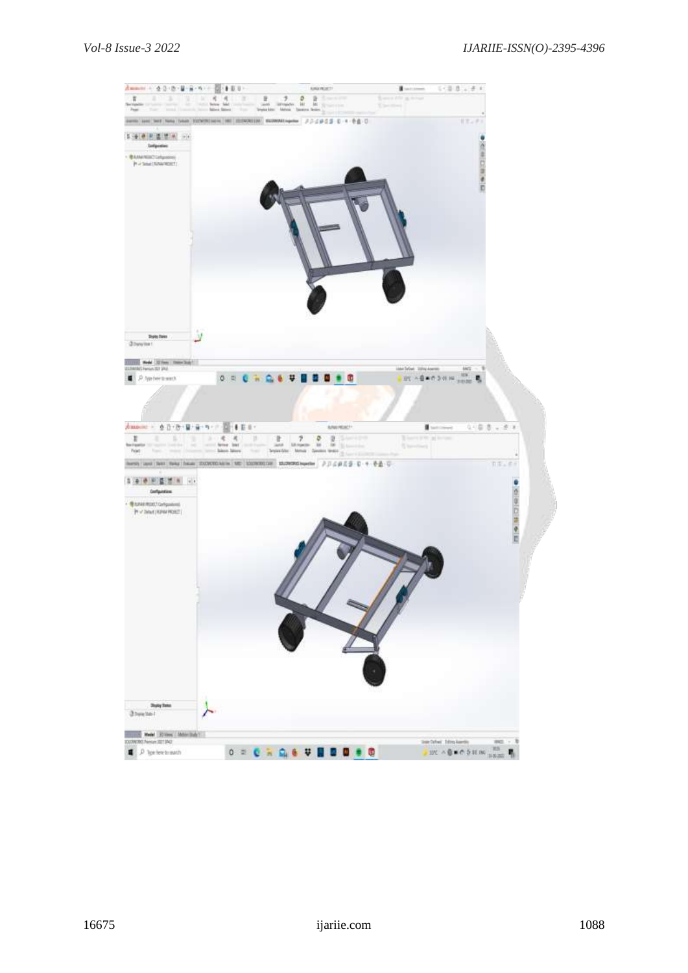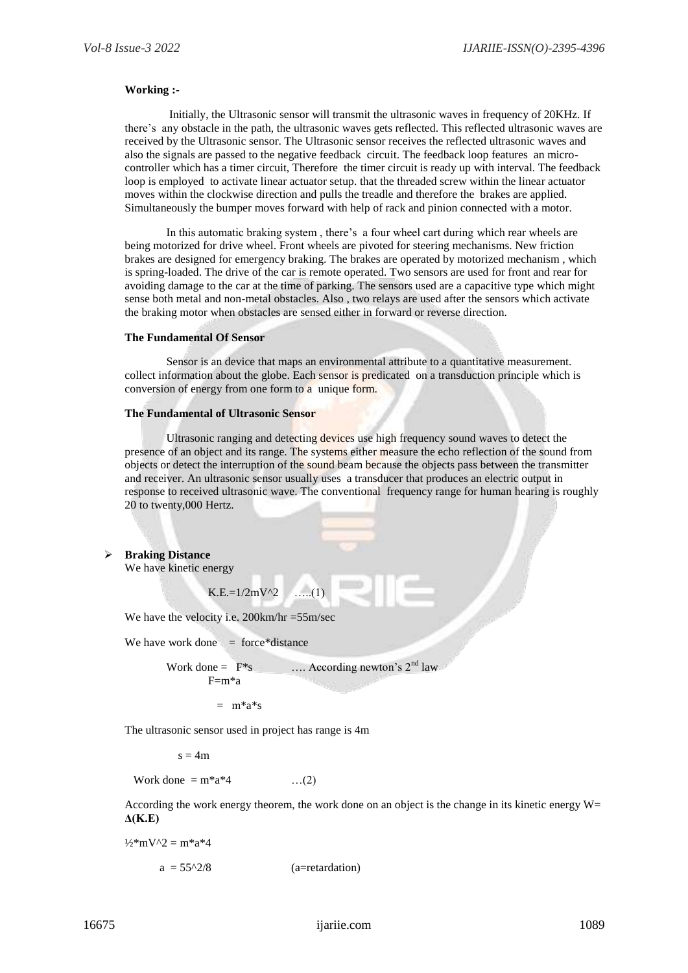#### **Working :-**

Initially, the Ultrasonic sensor will transmit the ultrasonic waves in frequency of 20KHz. If there's any obstacle in the path, the ultrasonic waves gets reflected. This reflected ultrasonic waves are received by the Ultrasonic sensor. The Ultrasonic sensor receives the reflected ultrasonic waves and also the signals are passed to the negative feedback circuit. The feedback loop features an microcontroller which has a timer circuit, Therefore the timer circuit is ready up with interval. The feedback loop is employed to activate linear actuator setup. that the threaded screw within the linear actuator moves within the clockwise direction and pulls the treadle and therefore the brakes are applied. Simultaneously the bumper moves forward with help of rack and pinion connected with a motor.

In this automatic braking system , there's a four wheel cart during which rear wheels are being motorized for drive wheel. Front wheels are pivoted for steering mechanisms. New friction brakes are designed for emergency braking. The brakes are operated by motorized mechanism , which is spring-loaded. The drive of the car is remote operated. Two sensors are used for front and rear for avoiding damage to the car at the time of parking. The sensors used are a capacitive type which might sense both metal and non-metal obstacles. Also , two relays are used after the sensors which activate the braking motor when obstacles are sensed either in forward or reverse direction.

#### **The Fundamental Of Sensor**

Sensor is an device that maps an environmental attribute to a quantitative measurement. collect information about the globe. Each sensor is predicated on a transduction principle which is conversion of energy from one form to a unique form.

#### **The Fundamental of Ultrasonic Sensor**

Ultrasonic ranging and detecting devices use high frequency sound waves to detect the presence of an object and its range. The systems either measure the echo reflection of the sound from objects or detect the interruption of the sound beam because the objects pass between the transmitter and receiver. An ultrasonic sensor usually uses a transducer that produces an electric output in response to received ultrasonic wave. The conventional frequency range for human hearing is roughly 20 to twenty,000 Hertz.

**Braking Distance**

We have kinetic energy

$$
K.E.=1/2mV^2 \qquad \ldots (1)
$$

We have the velocity i.e. 200km/hr =55m/sec

We have work done  $=$  force\*distance

Work done = 
$$
F^*s
$$
 .... According newton's 2<sup>nd</sup> law  
F=m\*a  
= m\*a\*s

The ultrasonic sensor used in project has range is 4m

 $s = 4m$ 

Work done =  $m^*a^*4$  …(2)

According the work energy theorem, the work done on an object is the change in its kinetic energy  $W=$ **Δ(K.E)**

 $\frac{1}{2}$  mV^2 = m\*a\*4

 $a = 55^{\circ}2/8$  (a=retardation)